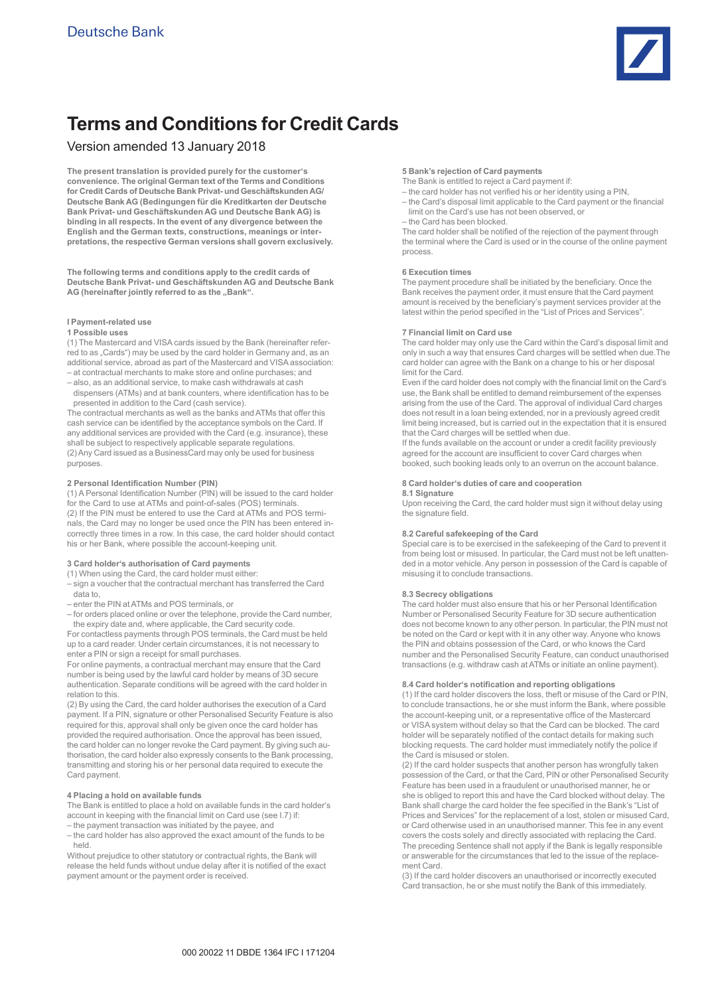

# **Terms and Conditions for Credit Cards**

## Version amended 13 January 2018

**The present translation is provided purely for the customer's convenience. The original German text of the Terms and Conditions for Credit Cards of Deutsche Bank Privat- und Geschäftskunden AG/ Deutsche Bank AG (Bedingungen für die Kreditkarten der Deutsche Bank Privat- und Geschäftskunden AG und Deutsche Bank AG) is binding in all respects. In the event of any divergence between the English and the German texts, constructions, meanings or interpretations, the respective German versions shall govern exclusively.**

**The following terms and conditions apply to the credit cards of Deutsche Bank Privat- und Geschäftskunden AG and Deutsche Bank**  AG (hereinafter jointly referred to as the "Bank".

## **I Payment-related use**

## **1 Possible uses**

(1) The Mastercard and VISA cards issued by the Bank (hereinafter referred to as "Cards") may be used by the card holder in Germany and, as an additional service, abroad as part of the Mastercard and VISA association: – at contractual merchants to make store and online purchases; and

– also, as an additional service, to make cash withdrawals at cash dispensers (ATMs) and at bank counters, where identification has to be

presented in addition to the Card (cash service). The contractual merchants as well as the banks and ATMs that offer this cash service can be identified by the acceptance symbols on the Card. If any additional services are provided with the Card (e.g. insurance), these shall be subject to respectively applicable separate regulations. (2) Any Card issued as a BusinessCard may only be used for business purposes.

## **2 Personal Identification Number (PIN)**

(1) A Personal Identification Number (PIN) will be issued to the card holder for the Card to use at ATMs and point-of-sales (POS) terminals. (2) If the PIN must be entered to use the Card at ATMs and POS terminals, the Card may no longer be used once the PIN has been entered incorrectly three times in a row. In this case, the card holder should contact his or her Bank, where possible the account-keeping unit.

## **3 Card holder's authorisation of Card payments**

(1) When using the Card, the card holder must either:

- sign a voucher that the contractual merchant has transferred the Card data to,
- enter the PIN at ATMs and POS terminals, or
- for orders placed online or over the telephone, provide the Card number, the expiry date and, where applicable, the Card security code.

For contactless payments through POS terminals, the Card must be held up to a card reader. Under certain circumstances, it is not necessary to enter a PIN or sign a receipt for small purchases.

For online payments, a contractual merchant may ensure that the Card number is being used by the lawful card holder by means of 3D secure authentication. Separate conditions will be agreed with the card holder in relation to this.

(2) By using the Card, the card holder authorises the execution of a Card payment. If a PIN, signature or other Personalised Security Feature is also required for this, approval shall only be given once the card holder has provided the required authorisation. Once the approval has been issued, the card holder can no longer revoke the Card payment. By giving such authorisation, the card holder also expressly consents to the Bank processing, transmitting and storing his or her personal data required to execute the Card payment.

## **4 Placing a hold on available funds**

The Bank is entitled to place a hold on available funds in the card holder's account in keeping with the financial limit on Card use (see I.7) if: – the payment transaction was initiated by the payee, and

– the card holder has also approved the exact amount of the funds to be held.

Without prejudice to other statutory or contractual rights, the Bank will release the held funds without undue delay after it is notified of the exact payment amount or the payment order is received.

#### **5 Bank's rejection of Card payments**

- The Bank is entitled to reject a Card payment if:
- the card holder has not verified his or her identity using a PIN,
- the Card's disposal limit applicable to the Card payment or the financial limit on the Card's use has not been observed, or
- the Card has been blocked.

The card holder shall be notified of the rejection of the payment through the terminal where the Card is used or in the course of the online payment process.

#### **6 Execution times**

The payment procedure shall be initiated by the beneficiary. Once the Bank receives the payment order, it must ensure that the Card payment amount is received by the beneficiary's payment services provider at the latest within the period specified in the "List of Prices and Services".

## **7 Financial limit on Card use**

The card holder may only use the Card within the Card's disposal limit and only in such a way that ensures Card charges will be settled when due.The card holder can agree with the Bank on a change to his or her disposal limit for the Card.

Even if the card holder does not comply with the financial limit on the Card's use, the Bank shall be entitled to demand reimbursement of the expenses arising from the use of the Card. The approval of individual Card charges does not result in a loan being extended, nor in a previously agreed credit limit being increased, but is carried out in the expectation that it is ensured that the Card charges will be settled when due.

If the funds available on the account or under a credit facility previously agreed for the account are insufficient to cover Card charges when booked, such booking leads only to an overrun on the account balance.

## **8 Card holder's duties of care and cooperation**

**8.1 Signature** Upon receiving the Card, the card holder must sign it without delay using the signature field.

## **8.2 Careful safekeeping of the Card**

Special care is to be exercised in the safekeeping of the Card to prevent it from being lost or misused. In particular, the Card must not be left unattended in a motor vehicle. Any person in possession of the Card is capable of misusing it to conclude transactions.

## **8.3 Secrecy obligations**

The card holder must also ensure that his or her Personal Identification Number or Personalised Security Feature for 3D secure authentication does not become known to any other person. In particular, the PIN must not be noted on the Card or kept with it in any other way. Anyone who knows the PIN and obtains possession of the Card, or who knows the Card number and the Personalised Security Feature, can conduct unauthorised transactions (e.g. withdraw cash at ATMs or initiate an online payment).

#### **8.4 Card holder's notification and reporting obligations**

(1) If the card holder discovers the loss, theft or misuse of the Card or PIN, to conclude transactions, he or she must inform the Bank, where possible the account-keeping unit, or a representative office of the Mastercard or VISA system without delay so that the Card can be blocked. The card holder will be separately notified of the contact details for making such blocking requests. The card holder must immediately notify the police if the Card is misused or stolen.

(2) If the card holder suspects that another person has wrongfully taken possession of the Card, or that the Card, PIN or other Personalised Security Feature has been used in a fraudulent or unauthorised manner, he or she is obliged to report this and have the Card blocked without delay. The Bank shall charge the card holder the fee specified in the Bank's "List of Prices and Services" for the replacement of a lost, stolen or misused Card, or Card otherwise used in an unauthorised manner. This fee in any event covers the costs solely and directly associated with replacing the Card. The preceding Sentence shall not apply if the Bank is legally responsible or answerable for the circumstances that led to the issue of the replacement Card.

(3) If the card holder discovers an unauthorised or incorrectly executed Card transaction, he or she must notify the Bank of this immediately.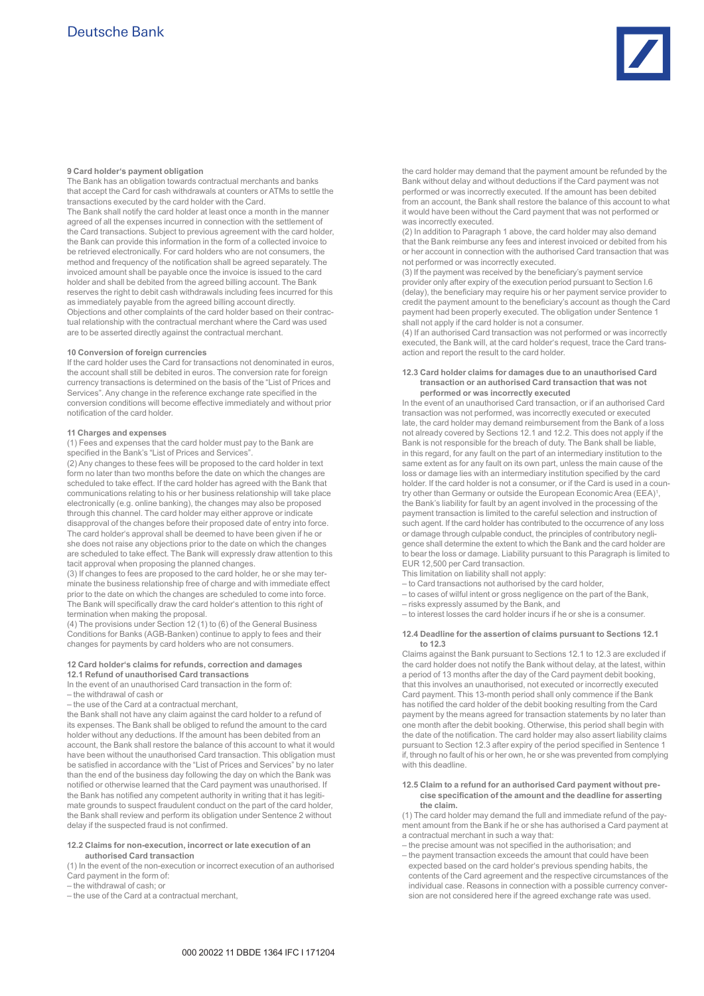

#### **9 Card holder's payment obligation**

The Bank has an obligation towards contractual merchants and banks that accept the Card for cash withdrawals at counters or ATMs to settle the transactions executed by the card holder with the Card. The Bank shall notify the card holder at least once a month in the manner agreed of all the expenses incurred in connection with the settlement of the Card transactions. Subject to previous agreement with the card holder, the Bank can provide this information in the form of a collected invoice to be retrieved electronically. For card holders who are not consumers, the method and frequency of the notification shall be agreed separately. The invoiced amount shall be payable once the invoice is issued to the card holder and shall be debited from the agreed billing account. The Bank reserves the right to debit cash withdrawals including fees incurred for this as immediately payable from the agreed billing account directly. Objections and other complaints of the card holder based on their contractual relationship with the contractual merchant where the Card was used are to be asserted directly against the contractual merchant.

## **10 Conversion of foreign currencies**

If the card holder uses the Card for transactions not denominated in euros, the account shall still be debited in euros. The conversion rate for foreign currency transactions is determined on the basis of the "List of Prices and Services". Any change in the reference exchange rate specified in the conversion conditions will become effective immediately and without prior notification of the card holder.

#### **11 Charges and expenses**

(1) Fees and expenses that the card holder must pay to the Bank are specified in the Bank's "List of Prices and Services".

(2) Any changes to these fees will be proposed to the card holder in text form no later than two months before the date on which the changes are scheduled to take effect. If the card holder has agreed with the Bank that communications relating to his or her business relationship will take place electronically (e.g. online banking), the changes may also be proposed through this channel. The card holder may either approve or indicate disapproval of the changes before their proposed date of entry into force. The card holder's approval shall be deemed to have been given if he or she does not raise any objections prior to the date on which the changes are scheduled to take effect. The Bank will expressly draw attention to this tacit approval when proposing the planned changes.

(3) If changes to fees are proposed to the card holder, he or she may terminate the business relationship free of charge and with immediate effect prior to the date on which the changes are scheduled to come into force. The Bank will specifically draw the card holder's attention to this right of termination when making the proposal.

(4) The provisions under Section 12 (1) to (6) of the General Business Conditions for Banks (AGB-Banken) continue to apply to fees and their changes for payments by card holders who are not consumers.

#### **12 Card holder's claims for refunds, correction and damages 12.1 Refund of unauthorised Card transactions**

In the event of an unauthorised Card transaction in the form of:

- the withdrawal of cash or
- the use of the Card at a contractual merchant,

the Bank shall not have any claim against the card holder to a refund of its expenses. The Bank shall be obliged to refund the amount to the card holder without any deductions. If the amount has been debited from an account, the Bank shall restore the balance of this account to what it would have been without the unauthorised Card transaction. This obligation must be satisfied in accordance with the "List of Prices and Services" by no later than the end of the business day following the day on which the Bank was notified or otherwise learned that the Card payment was unauthorised. If the Bank has notified any competent authority in writing that it has legitimate grounds to suspect fraudulent conduct on the part of the card holder, the Bank shall review and perform its obligation under Sentence 2 without delay if the suspected fraud is not confirmed.

#### **12.2 Claims for non-execution, incorrect or late execution of an authorised Card transaction**

(1) In the event of the non-execution or incorrect execution of an authorised Card payment in the form of:

– the withdrawal of cash; or

– the use of the Card at a contractual merchant,

the card holder may demand that the payment amount be refunded by the Bank without delay and without deductions if the Card payment was not performed or was incorrectly executed. If the amount has been debited from an account, the Bank shall restore the balance of this account to what it would have been without the Card payment that was not performed or was incorrectly executed.

(2) In addition to Paragraph 1 above, the card holder may also demand that the Bank reimburse any fees and interest invoiced or debited from his or her account in connection with the authorised Card transaction that was not performed or was incorrectly executed.

(3) If the payment was received by the beneficiary's payment service provider only after expiry of the execution period pursuant to Section I.6 (delay), the beneficiary may require his or her payment service provider to credit the payment amount to the beneficiary's account as though the Card payment had been properly executed. The obligation under Sentence 1 shall not apply if the card holder is not a consumer.

(4) If an authorised Card transaction was not performed or was incorrectly executed, the Bank will, at the card holder's request, trace the Card transaction and report the result to the card holder.

#### **12.3 Card holder claims for damages due to an unauthorised Card transaction or an authorised Card transaction that was not performed or was incorrectly executed**

In the event of an unauthorised Card transaction, or if an authorised Card transaction was not performed, was incorrectly executed or executed late, the card holder may demand reimbursement from the Bank of a loss not already covered by Sections 12.1 and 12.2. This does not apply if the Bank is not responsible for the breach of duty. The Bank shall be liable, in this regard, for any fault on the part of an intermediary institution to the same extent as for any fault on its own part, unless the main cause of the loss or damage lies with an intermediary institution specified by the card holder. If the card holder is not a consumer, or if the Card is used in a country other than Germany or outside the European Economic Area (EEA)<sup>1</sup>, the Bank's liability for fault by an agent involved in the processing of the payment transaction is limited to the careful selection and instruction of such agent. If the card holder has contributed to the occurrence of any loss or damage through culpable conduct, the principles of contributory negligence shall determine the extent to which the Bank and the card holder are to bear the loss or damage. Liability pursuant to this Paragraph is limited to EUR 12,500 per Card transaction.

- This limitation on liability shall not apply:
- to Card transactions not authorised by the card holder,
- to cases of wilful intent or gross negligence on the part of the Bank,
- risks expressly assumed by the Bank, and
- to interest losses the card holder incurs if he or she is a consumer.

#### **12.4 Deadline for the assertion of claims pursuant to Sections 12.1 to 12.3**

Claims against the Bank pursuant to Sections 12.1 to 12.3 are excluded if the card holder does not notify the Bank without delay, at the latest, within a period of 13 months after the day of the Card payment debit booking, that this involves an unauthorised, not executed or incorrectly executed Card payment. This 13-month period shall only commence if the Bank has notified the card holder of the debit booking resulting from the Card payment by the means agreed for transaction statements by no later than one month after the debit booking. Otherwise, this period shall begin with the date of the notification. The card holder may also assert liability claims pursuant to Section 12.3 after expiry of the period specified in Sentence 1 if, through no fault of his or her own, he or she was prevented from complying with this deadline.

#### **12.5 Claim to a refund for an authorised Card payment without precise specification of the amount and the deadline for asserting the claim.**

(1) The card holder may demand the full and immediate refund of the payment amount from the Bank if he or she has authorised a Card payment at a contractual merchant in such a way that:

- the precise amount was not specified in the authorisation; and
- the payment transaction exceeds the amount that could have been expected based on the card holder's previous spending habits, the contents of the Card agreement and the respective circumstances of the individual case. Reasons in connection with a possible currency conversion are not considered here if the agreed exchange rate was used.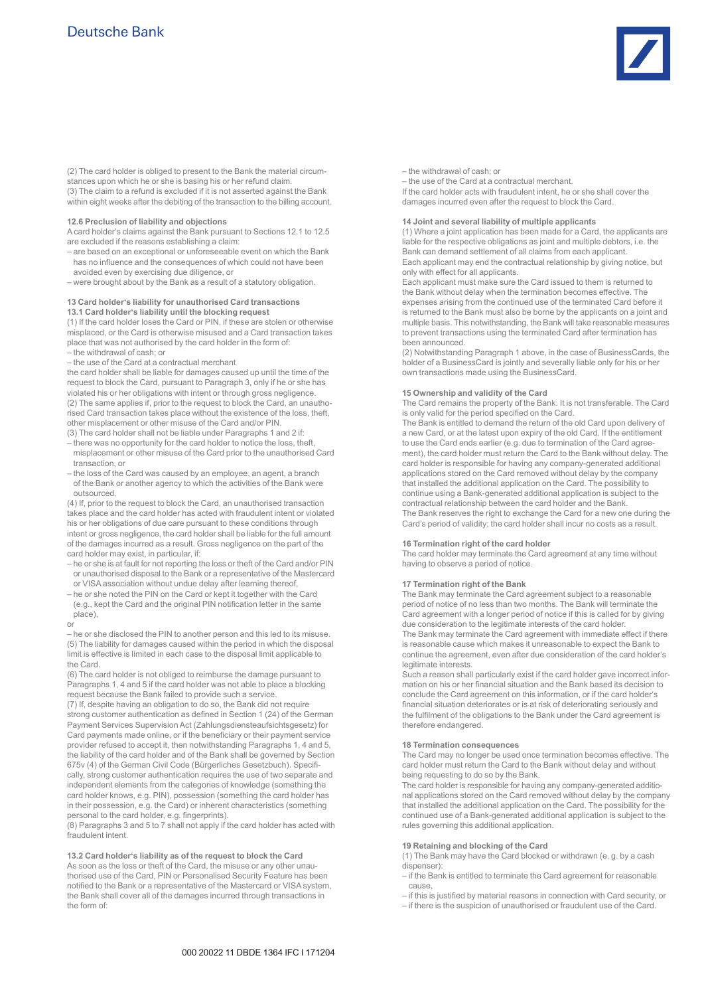

(2) The card holder is obliged to present to the Bank the material circumstances upon which he or she is basing his or her refund claim. (3) The claim to a refund is excluded if it is not asserted against the Bank within eight weeks after the debiting of the transaction to the billing account.

#### **12.6 Preclusion of liability and objections**

A card holder's claims against the Bank pursuant to Sections 12.1 to 12.5 are excluded if the reasons establishing a claim:

– are based on an exceptional or unforeseeable event on which the Bank has no influence and the consequences of which could not have been avoided even by exercising due diligence, or

– were brought about by the Bank as a result of a statutory obligation.

#### **13 Card holder's liability for unauthorised Card transactions 13.1 Card holder's liability until the blocking request**

(1) If the card holder loses the Card or PIN, if these are stolen or otherwise misplaced, or the Card is otherwise misused and a Card transaction takes place that was not authorised by the card holder in the form of: – the withdrawal of cash; or

– the use of the Card at a contractual merchant

the card holder shall be liable for damages caused up until the time of the request to block the Card, pursuant to Paragraph 3, only if he or she has violated his or her obligations with intent or through gross negligence. (2) The same applies if, prior to the request to block the Card, an unauthorised Card transaction takes place without the existence of the loss, theft, other misplacement or other misuse of the Card and/or PIN.

(3) The card holder shall not be liable under Paragraphs 1 and 2 if: – there was no opportunity for the card holder to notice the loss, theft, misplacement or other misuse of the Card prior to the unauthorised Card transaction, or

– the loss of the Card was caused by an employee, an agent, a branch of the Bank or another agency to which the activities of the Bank were outsourced.

(4) If, prior to the request to block the Card, an unauthorised transaction takes place and the card holder has acted with fraudulent intent or violated his or her obligations of due care pursuant to these conditions through intent or gross negligence, the card holder shall be liable for the full amount of the damages incurred as a result. Gross negligence on the part of the card holder may exist, in particular, if:

- he or she is at fault for not reporting the loss or theft of the Card and/or PIN or unauthorised disposal to the Bank or a representative of the Mastercard or VISA association without undue delay after learning thereof,
- he or she noted the PIN on the Card or kept it together with the Card (e.g., kept the Card and the original PIN notification letter in the same place),

or

– he or she disclosed the PIN to another person and this led to its misuse. (5) The liability for damages caused within the period in which the disposal limit is effective is limited in each case to the disposal limit applicable to the Card.

(6) The card holder is not obliged to reimburse the damage pursuant to Paragraphs 1, 4 and 5 if the card holder was not able to place a blocking request because the Bank failed to provide such a service. (7) If, despite having an obligation to do so, the Bank did not require strong customer authentication as defined in Section 1 (24) of the German Payment Services Supervision Act (Zahlungsdiensteaufsichtsgesetz) for Card payments made online, or if the beneficiary or their payment service provider refused to accept it, then notwithstanding Paragraphs 1, 4 and 5,

the liability of the card holder and of the Bank shall be governed by Section 675v (4) of the German Civil Code (Bürgerliches Gesetzbuch). Specifically, strong customer authentication requires the use of two separate and independent elements from the categories of knowledge (something the card holder knows, e.g. PIN), possession (something the card holder has in their possession, e.g. the Card) or inherent characteristics (something personal to the card holder, e.g. fingerprints).

(8) Paragraphs 3 and 5 to 7 shall not apply if the card holder has acted with fraudulent intent.

**13.2 Card holder's liability as of the request to block the Card** As soon as the loss or theft of the Card, the misuse or any other unauthorised use of the Card, PIN or Personalised Security Feature has been notified to the Bank or a representative of the Mastercard or VISA system, the Bank shall cover all of the damages incurred through transactions in the form of:

– the withdrawal of cash; or

– the use of the Card at a contractual merchant. If the card holder acts with fraudulent intent, he or she shall cover the damages incurred even after the request to block the Card.

#### **14 Joint and several liability of multiple applicants**

(1) Where a joint application has been made for a Card, the applicants are liable for the respective obligations as joint and multiple debtors, i.e. the Bank can demand settlement of all claims from each applicant. Each applicant may end the contractual relationship by giving notice, but only with effect for all applicants.

Each applicant must make sure the Card issued to them is returned to the Bank without delay when the termination becomes effective. The expenses arising from the continued use of the terminated Card before it is returned to the Bank must also be borne by the applicants on a joint and multiple basis. This notwithstanding, the Bank will take reasonable measures to prevent transactions using the terminated Card after termination has been announced.

(2) Notwithstanding Paragraph 1 above, in the case of BusinessCards, the holder of a BusinessCard is jointly and severally liable only for his or her own transactions made using the BusinessCard.

## **15 Ownership and validity of the Card**

The Card remains the property of the Bank. It is not transferable. The Card is only valid for the period specified on the Card.

The Bank is entitled to demand the return of the old Card upon delivery of a new Card, or at the latest upon expiry of the old Card. If the entitlement to use the Card ends earlier (e.g. due to termination of the Card agreement), the card holder must return the Card to the Bank without delay. The card holder is responsible for having any company-generated additional applications stored on the Card removed without delay by the company that installed the additional application on the Card. The possibility to continue using a Bank-generated additional application is subject to the contractual relationship between the card holder and the Bank. The Bank reserves the right to exchange the Card for a new one during the Card's period of validity; the card holder shall incur no costs as a result.

#### **16 Termination right of the card holder**

The card holder may terminate the Card agreement at any time without having to observe a period of notice.

## **17 Termination right of the Bank**

The Bank may terminate the Card agreement subject to a reasonable period of notice of no less than two months. The Bank will terminate the Card agreement with a longer period of notice if this is called for by giving due consideration to the legitimate interests of the card holder.

The Bank may terminate the Card agreement with immediate effect if there is reasonable cause which makes it unreasonable to expect the Bank to continue the agreement, even after due consideration of the card holder's legitimate interests.

Such a reason shall particularly exist if the card holder gave incorrect information on his or her financial situation and the Bank based its decision to conclude the Card agreement on this information, or if the card holder's financial situation deteriorates or is at risk of deteriorating seriously and the fulfilment of the obligations to the Bank under the Card agreement is therefore endangered.

## **18 Termination consequences**

The Card may no longer be used once termination becomes effective. The card holder must return the Card to the Bank without delay and without being requesting to do so by the Bank.

The card holder is responsible for having any company-generated additional applications stored on the Card removed without delay by the company that installed the additional application on the Card. The possibility for the continued use of a Bank-generated additional application is subject to the rules governing this additional application.

## **19 Retaining and blocking of the Card**

(1) The Bank may have the Card blocked or withdrawn (e. g. by a cash dispenser):

– if the Bank is entitled to terminate the Card agreement for reasonable cause,

– if this is justified by material reasons in connection with Card security, or

– if there is the suspicion of unauthorised or fraudulent use of the Card.